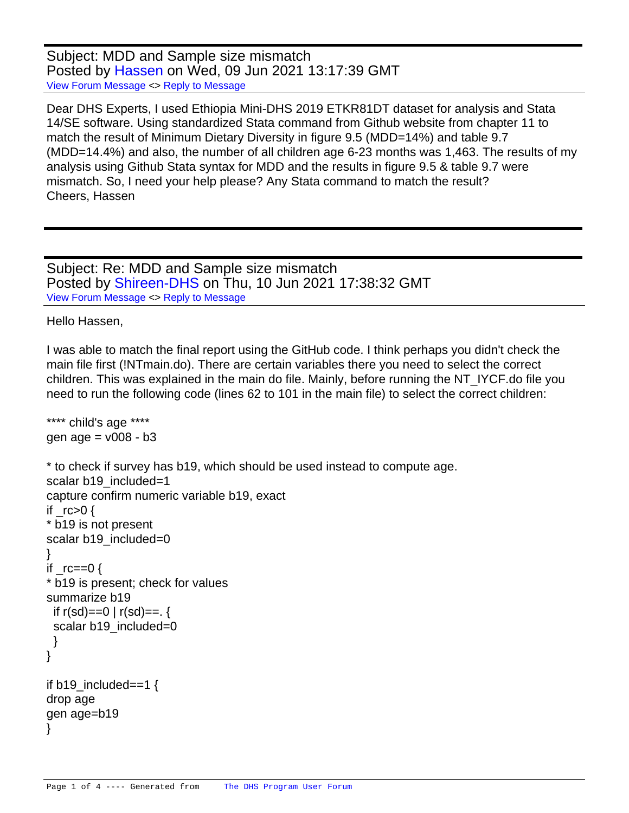Subject: MDD and Sample size mismatch Posted by [Hassen](https://userforum.dhsprogram.com/index.php?t=usrinfo&id=5545) on Wed, 09 Jun 2021 13:17:39 GMT [View Forum Message](https://userforum.dhsprogram.com/index.php?t=rview&th=11051&goto=22943#msg_22943) <> [Reply to Message](https://userforum.dhsprogram.com/index.php?t=post&reply_to=22943)

Dear DHS Experts, I used Ethiopia Mini-DHS 2019 ETKR81DT dataset for analysis and Stata 14/SE software. Using standardized Stata command from Github website from chapter 11 to match the result of Minimum Dietary Diversity in figure 9.5 (MDD=14%) and table 9.7 (MDD=14.4%) and also, the number of all children age 6-23 months was 1,463. The results of my analysis using Github Stata syntax for MDD and the results in figure 9.5 & table 9.7 were mismatch. So, I need your help please? Any Stata command to match the result? Cheers, Hassen

Subject: Re: MDD and Sample size mismatch Posted by [Shireen-DHS](https://userforum.dhsprogram.com/index.php?t=usrinfo&id=9656) on Thu, 10 Jun 2021 17:38:32 GMT [View Forum Message](https://userforum.dhsprogram.com/index.php?t=rview&th=11051&goto=22953#msg_22953) <> [Reply to Message](https://userforum.dhsprogram.com/index.php?t=post&reply_to=22953)

Hello Hassen,

I was able to match the final report using the GitHub code. I think perhaps you didn't check the main file first (!NTmain.do). There are certain variables there you need to select the correct children. This was explained in the main do file. Mainly, before running the NT\_IYCF.do file you need to run the following code (lines 62 to 101 in the main file) to select the correct children:

```
**** child's age ****
gen age = v008 - b3		* to check if survey has b19, which should be used instead to compute age. 
 scalar b19_included=1
  			capture confirm numeric variable b19, exact 
  if rc>0 {
  			* b19 is not present
  scalar b19_included=0
  			}
  if rc == 0 {
  			* b19 is present; check for values
  			summarize b19
   if r(sd) == 0 \mid r(sd) == 0scalar b19_included=0
   			 }
  			}
 if b19 included==1 \{		drop age
 		gen age=b19
		}
```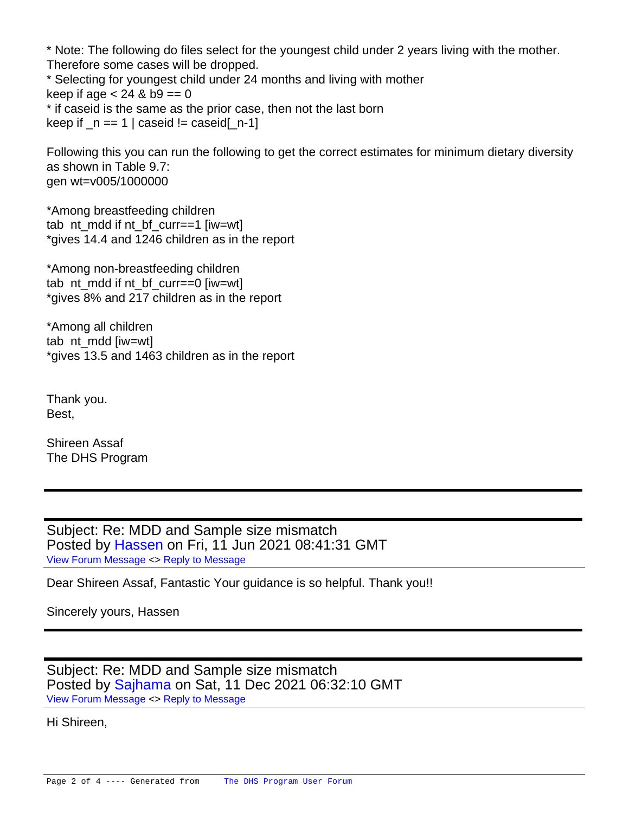\* Note: The following do files select for the youngest child under 2 years living with the mother. Therefore some cases will be dropped.

\* Selecting for youngest child under 24 months and living with mother keep if age  $< 24$  & b9 == 0 \* if caseid is the same as the prior case, then not the last born keep if  $n == 1$  | caseid  $!=$  caseid[ $n-1$ ]

Following this you can run the following to get the correct estimates for minimum dietary diversity as shown in Table 9.7: gen wt=v005/1000000

\*Among breastfeeding children tab nt\_mdd if nt\_bf\_curr==1 [iw=wt] \*gives 14.4 and 1246 children as in the report

\*Among non-breastfeeding children tab nt\_mdd if nt\_bf\_curr==0  $[iw=wt]$ \*gives 8% and 217 children as in the report

\*Among all children tab nt mdd [iw=wt] \*gives 13.5 and 1463 children as in the report

Thank you. Best,

Shireen Assaf The DHS Program

Subject: Re: MDD and Sample size mismatch Posted by [Hassen](https://userforum.dhsprogram.com/index.php?t=usrinfo&id=5545) on Fri, 11 Jun 2021 08:41:31 GMT [View Forum Message](https://userforum.dhsprogram.com/index.php?t=rview&th=11051&goto=22960#msg_22960) <> [Reply to Message](https://userforum.dhsprogram.com/index.php?t=post&reply_to=22960)

Dear Shireen Assaf, Fantastic Your guidance is so helpful. Thank you!!

Sincerely yours, Hassen

Subject: Re: MDD and Sample size mismatch Posted by [Sajhama](https://userforum.dhsprogram.com/index.php?t=usrinfo&id=4903) on Sat, 11 Dec 2021 06:32:10 GMT [View Forum Message](https://userforum.dhsprogram.com/index.php?t=rview&th=11051&goto=23832#msg_23832) <> [Reply to Message](https://userforum.dhsprogram.com/index.php?t=post&reply_to=23832)

Hi Shireen,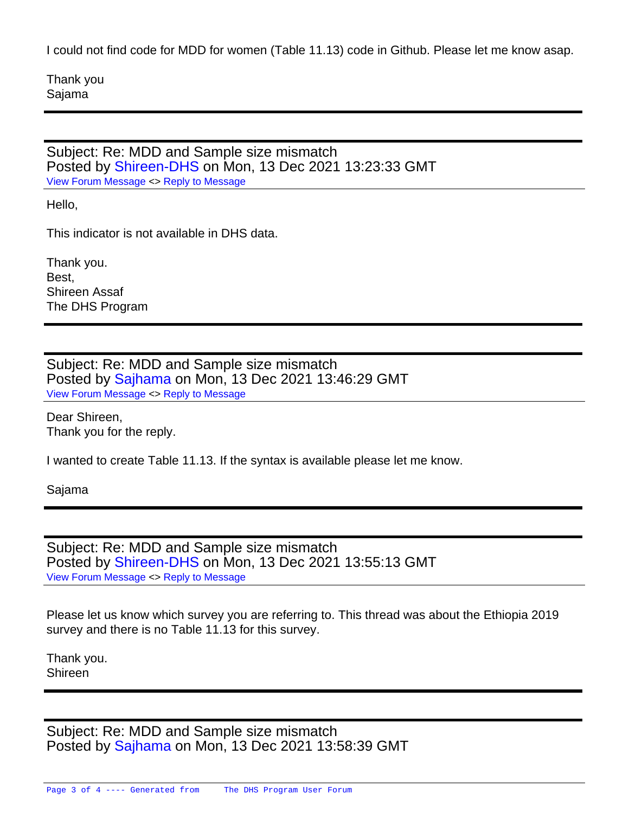I could not find code for MDD for women (Table 11.13) code in Github. Please let me know asap.

Thank you Sajama

Subject: Re: MDD and Sample size mismatch Posted by [Shireen-DHS](https://userforum.dhsprogram.com/index.php?t=usrinfo&id=9656) on Mon, 13 Dec 2021 13:23:33 GMT [View Forum Message](https://userforum.dhsprogram.com/index.php?t=rview&th=11051&goto=23836#msg_23836) <> [Reply to Message](https://userforum.dhsprogram.com/index.php?t=post&reply_to=23836)

Hello,

This indicator is not available in DHS data.

Thank you. Best, Shireen Assaf The DHS Program

Subject: Re: MDD and Sample size mismatch Posted by [Sajhama](https://userforum.dhsprogram.com/index.php?t=usrinfo&id=4903) on Mon, 13 Dec 2021 13:46:29 GMT [View Forum Message](https://userforum.dhsprogram.com/index.php?t=rview&th=11051&goto=23837#msg_23837) <> [Reply to Message](https://userforum.dhsprogram.com/index.php?t=post&reply_to=23837)

Dear Shireen, Thank you for the reply.

I wanted to create Table 11.13. If the syntax is available please let me know.

Sajama

Subject: Re: MDD and Sample size mismatch Posted by [Shireen-DHS](https://userforum.dhsprogram.com/index.php?t=usrinfo&id=9656) on Mon, 13 Dec 2021 13:55:13 GMT [View Forum Message](https://userforum.dhsprogram.com/index.php?t=rview&th=11051&goto=23838#msg_23838) <> [Reply to Message](https://userforum.dhsprogram.com/index.php?t=post&reply_to=23838)

Please let us know which survey you are referring to. This thread was about the Ethiopia 2019 survey and there is no Table 11.13 for this survey.

Thank you. Shireen

Subject: Re: MDD and Sample size mismatch Posted by [Sajhama](https://userforum.dhsprogram.com/index.php?t=usrinfo&id=4903) on Mon, 13 Dec 2021 13:58:39 GMT